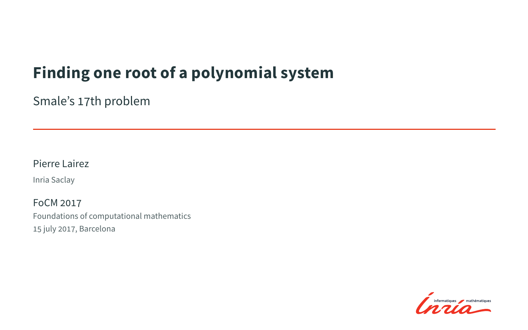## **Finding one root of a polynomial system**

Smale's 17th problem

#### Pierre Lairez

Inria Saclay

FoCM 2017 Foundations of computational mathematics 15 july 2017, Barcelona

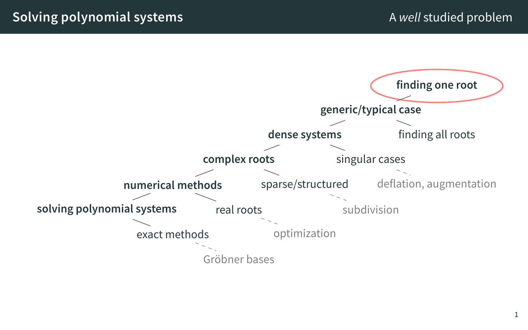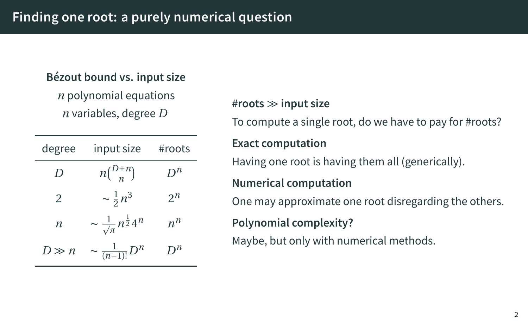#### **Bézout bound vs. input size**

*n* polynomial equations *n* variables, degree *D*

| degree    | input size                                      | #roots  |
|-----------|-------------------------------------------------|---------|
| D         | $n\binom{D+n}{n}$                               | $D^n$   |
| 2         | $\sim \frac{1}{2} n^3$                          | $2^n$   |
| n         | $\sim \frac{1}{\sqrt{\pi}} n^{\frac{1}{2}} 4^n$ | $n^n$   |
| $l \gg n$ | $\sim \frac{1}{(n-1)!}D^n$                      | $D^{n}$ |

#### **#roots** *≫* **input size**

To compute a single root, do we have to pay for #roots?

#### **Exact computation**

Having one root is having them all (generically).

#### **Numerical computation**

One may approximate one root disregarding the others.

#### **Polynomial complexity?**

Maybe, but only with numerical methods.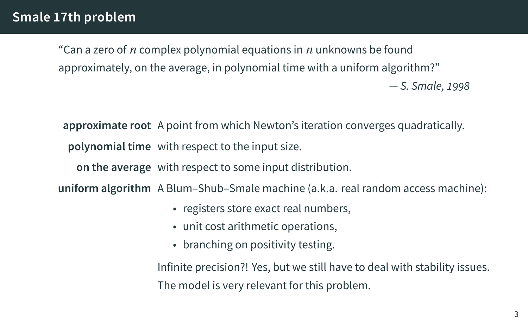"Can a zero of *n* complex polynomial equations in *n* unknowns be found approximately, on the average, in polynomial time with a uniform algorithm?" *— S. Smale, 1998*

**approximate root** A point from which Newton's iteration converges quadratically. **polynomial time** with respect to the input size.

**on the average** with respect to some input distribution.

**uniform algorithm** A Blum–Shub–Smale machine (a.k.a. real random access machine):

- registers store exact real numbers,
- unit cost arithmetic operations,
- branching on positivity testing.

Infinite precision?! Yes, but we still have to deal with stability issues. The model is very relevant for this problem.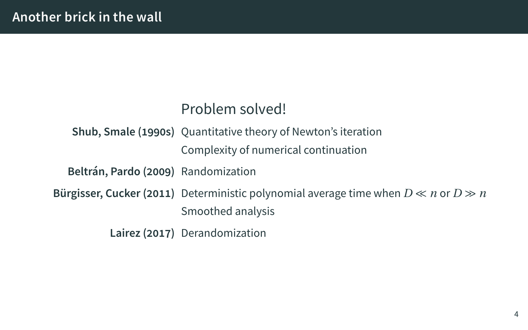## **Another brick in the wall**

## Problem solved!

|                                     | Shub, Smale (1990s) Quantitative theory of Newton's iteration                                                   |  |
|-------------------------------------|-----------------------------------------------------------------------------------------------------------------|--|
|                                     | Complexity of numerical continuation                                                                            |  |
| Beltrán, Pardo (2009) Randomization |                                                                                                                 |  |
|                                     | Bürgisser, Cucker (2011) Deterministic polynomial average time when $D \ll n$ or $D \gg n$<br>Smoothed analysis |  |
|                                     | Lairez (2017) Derandomization                                                                                   |  |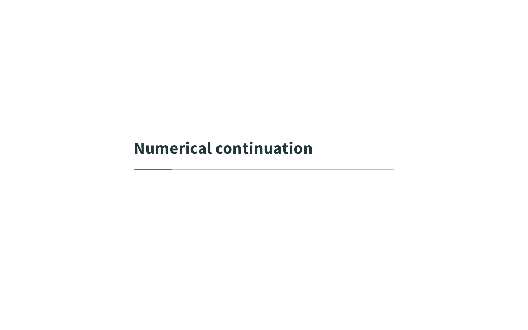**Numerical continuation**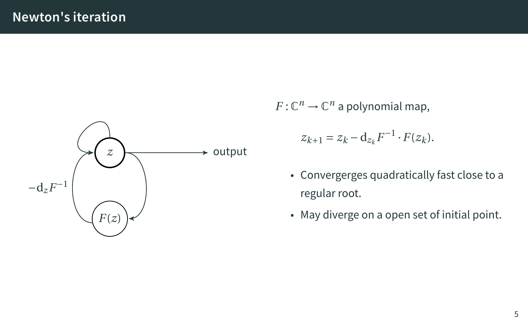

 $F: \mathbb{C}^n \to \mathbb{C}^n$  a polynomial map,

$$
z_{k+1} = z_k - \mathbf{d}_{z_k} F^{-1} \cdot F(z_k).
$$

- Convergerges quadratically fast close to a regular root.
- May diverge on a open set of initial point.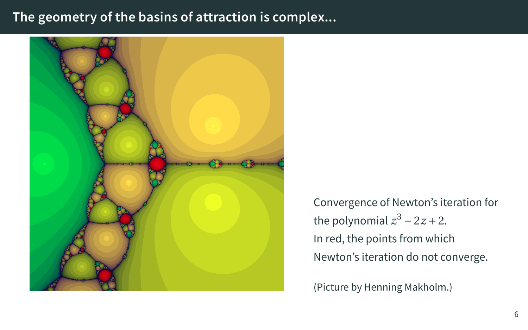#### **The geometry of the basins of attraction is complex...**



Convergence of Newton's iteration for the polynomial  $z^3 - 2z + 2$ . In red, the points from which Newton's iteration do not converge.

(Picture by Henning Makholm.)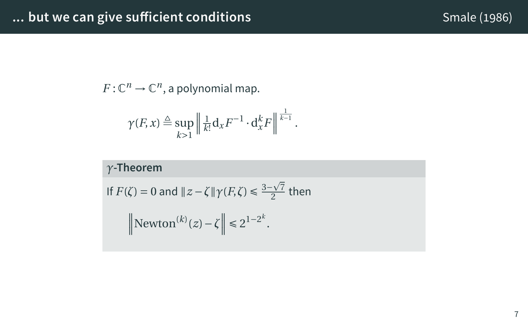# **... but we can give sufficient conditions Smale (1986)** Smale (1986)

*γ***-Theorem**

$$
-7\\
$$

 $\gamma$ (*F*, *x*)  $\triangleq$  sup

 $F:\mathbb{C}^n\to\mathbb{C}^n$ , a polynomial map.

*k>*1  $\big\|$ 1

If  $F(\zeta) = 0$  and  $||z - \zeta|| \gamma(F, \zeta) \leq \frac{3 - \sqrt{7}}{2}$ 

 $\left\| \text{Newton}^{(k)}(z) - \zeta \right\| \leq 2^{1-2^k}.$ 

 $\frac{1}{k!} d_x F^{-1} \cdot d_x^k F$ 

1 *k−*1 .

 $\frac{2}{2}$  then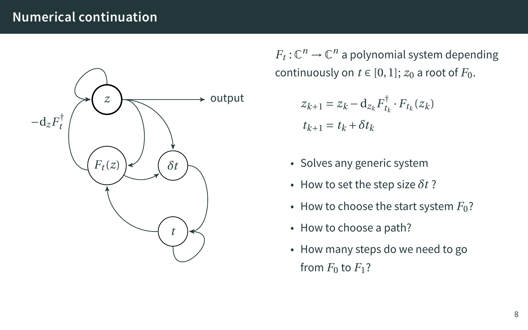### **Numerical continuation**



 $F_t: \mathbb{C}^n \to \mathbb{C}^n$  a polynomial system depending continuously on  $t \in [0, 1]$ ;  $z_0$  a root of  $F_0$ .

$$
z_{k+1} = z_k - \mathbf{d}_{z_k} F_{t_k}^{\dagger} \cdot F_{t_k}(z_k)
$$
  

$$
t_{k+1} = t_k + \delta t_k
$$

- Solves any generic system
- How to set the step size  $\delta t$ ?
- How to choose the start system  $F_0$ ?
- How to choose a path?
- How many steps do we need to go from  $F_0$  to  $F_1$ ?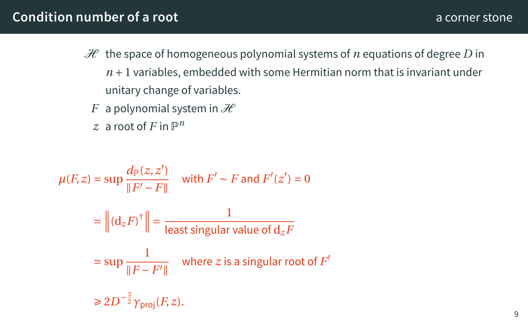#### **Condition number of a root** and a condition of a corner stone and a corner stone and a corner stone and a corner stone

- $H$  the space of homogeneous polynomial systems of *n* equations of degree *D* in  $n+1$  variables, embedded with some Hermitian norm that is invariant under unitary change of variables.
	- *F* a polynomial system in  $\mathcal{H}$
	- $z$  a root of  $F$  in  $\mathbb{P}^n$

$$
\mu(F, z) = \sup \frac{d_{\mathbb{P}}(z, z')}{\|F' - F\|} \quad \text{with } F' \sim F \text{ and } F'(z') = 0
$$

$$
= \left\| (\mathrm{d}_{z} F)^{\dagger} \right\| = \frac{1}{\text{least singular value of } \mathrm{d}_{z} F}
$$

$$
\approx \sup \frac{1}{\|F - F'\|} \quad \text{where } z \text{ is a singular root of } F'
$$

$$
\geq 2D^{-\frac{3}{2}} \gamma_{\text{proj}}(F, z).
$$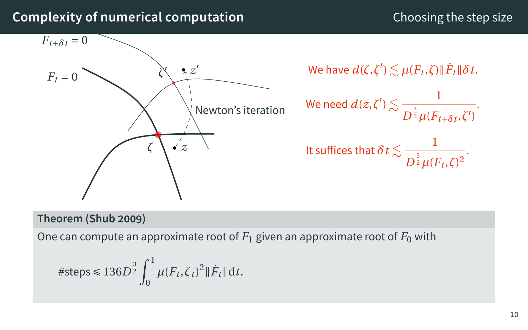## **Complexity of numerical computation** Choosing the step size  $F_t = 0$ <sup> $\dot{ }$ </sup> *ζ z*  $F_{t+\delta t} = 0$ *ζ ′ z ′*  $\sqrt{k}$  Newton's iteration  $W$ e have  $d(\zeta, \zeta') \lesssim \mu(F_t, \zeta) \|\dot{F}_t\| \delta t.$ We need  $d(z,\zeta')\lesssim -\frac{1}{\sqrt{3}}$  $D^{\frac{3}{2}}\mu(F_{t+\delta t}, \zeta')$ . It suffices that  $\delta t$   $\lesssim$   $-\frac{1}{\sqrt[3]{3}}$  $\frac{1}{D^{\frac{3}{2}}\mu(F_t,\zeta)^2}$ . **Theorem (Shub 2009)**

One can compute an approximate root of  $F_1$  given an approximate root of  $F_0$  with

#steps 
$$
\leq 136D^{\frac{3}{2}} \int_0^1 \mu(F_t, \zeta_t)^2 \|\dot{F}_t\| dt
$$
.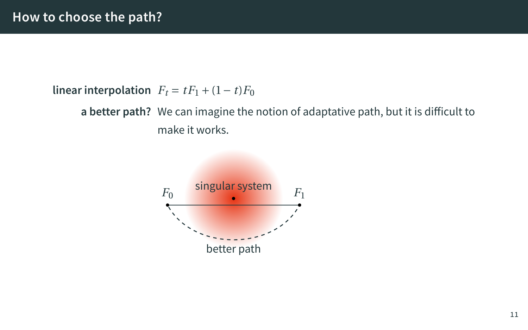**linear interpolation**  $F_t = tF_1 + (1-t)F_0$ 

**a better path?** We can imagine the notion of adaptative path, but it is difficult to make it works.

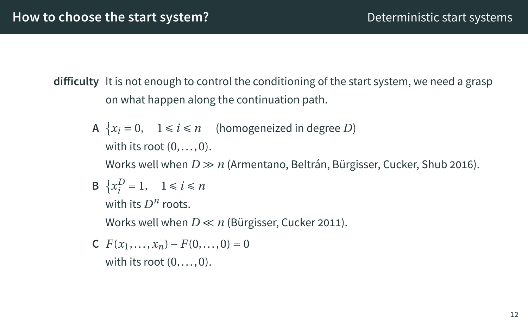### **How to choose the start system?** Deterministic start systems

- **difficulty** It is not enough to control the conditioning of the start system, we need a grasp on what happen along the continuation path.
	- A  $\{x_i = 0, 1 \le i \le n \}$  (homogeneized in degree *D*) with its root  $(0, \ldots, 0)$ . Works well when *D ≫ n* (Armentano, Beltrán, Bürgisser, Cucker, Shub 2016).
	- **B**  $\{x_i^D = 1, \quad 1 \le i \le n\}$ with its  $D^n$  roots. Works well when *D ≪ n* (Bürgisser, Cucker 2011).
	- **C**  $F(x_1,...,x_n) F(0,...,0) = 0$ with its root  $(0, \ldots, 0)$ .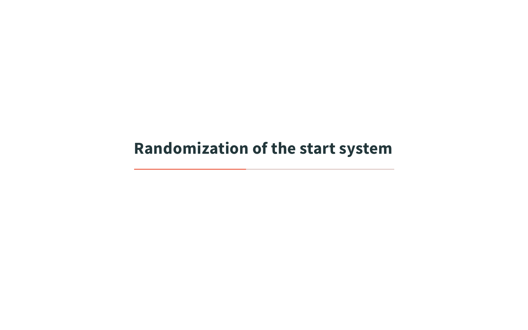**Randomization of the start system**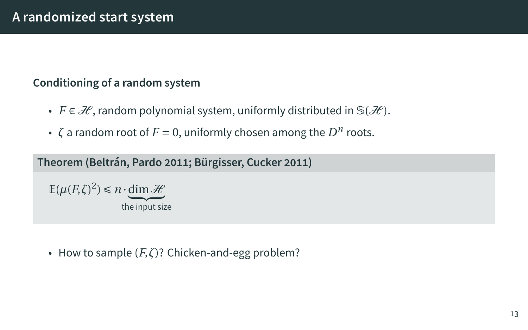## **A randomized start system**

### **Conditioning of a random system**

- *F ∈ H* , random polynomial system, uniformly distributed in S(*H* ).
- $\zeta$  a random root of  $F = 0$ , uniformly chosen among the  $D^n$  roots.

**Theorem (Beltrán, Pardo 2011; Bürgisser, Cucker 2011)**

 $E(\mu(F,\zeta)^2) \leq n \cdot \underbrace{\dim \mathcal{H}}_{\text{the input size}}$ 

• How to sample (*F*,*ζ*)? Chicken-and-egg problem?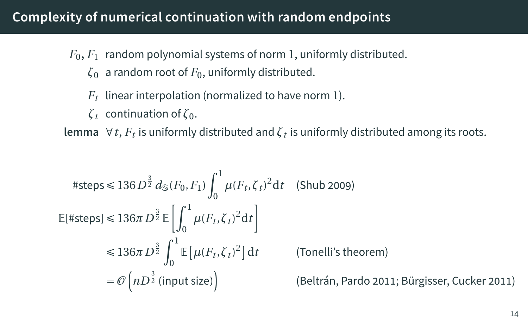## **Complexity of numerical continuation with random endpoints**

- $F_0, F_1$  random polynomial systems of norm 1, uniformly distributed.
	- *ζ*<sup>0</sup> a random root of *F*0, uniformly distributed.
	- *Ft* linear interpolation (normalized to have norm 1).
	- *ζ<sup>t</sup>* continuation of *ζ*0.

**lemma**  $\forall$ *t*,  $F_t$  is uniformly distributed and  $ζ_t$  is uniformly distributed among its roots.

#steps 
$$
\leq 136 D^{\frac{3}{2}} d_{\mathbb{S}}(F_0, F_1) \int_0^1 \mu(F_t, \zeta_t)^2 dt
$$
 (Shub 2009)  
\n
$$
\mathbb{E}[\#steps] \leq 136\pi D^{\frac{3}{2}} \mathbb{E} \left[ \int_0^1 \mu(F_t, \zeta_t)^2 dt \right]
$$
\n
$$
\leq 136\pi D^{\frac{3}{2}} \int_0^1 \mathbb{E} \left[ \mu(F_t, \zeta_t)^2 \right] dt
$$
 (Tonelli's theorem)  
\n $= \mathcal{O}\left( n D^{\frac{3}{2}} \text{ (input size)} \right)$  (Beltrán, Pardo 2011; Bürgisser, Cucker 2011)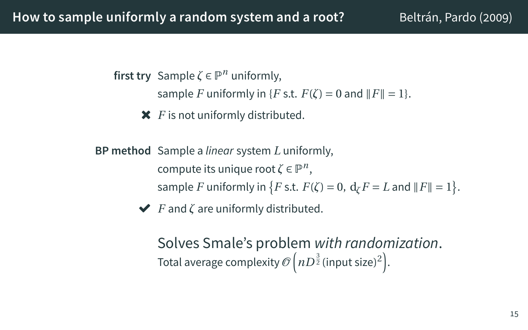### How to sample uniformly a random system and a root? Beltrán, Pardo (2009)

first try Sample  $\zeta \in \mathbb{P}^n$  uniformly,

sample *F* uniformly in {*F* s.t.  $F(\zeta) = 0$  and  $||F|| = 1$ }.

- *F* is not uniformly distributed.
- **BP method** Sample a *linear* system *L* uniformly,  $\mathsf{compute}\$  its unique root  $\zeta \in \mathbb{P}^n,$ sample *F* uniformly in  $\{F \text{ s.t. } F(\zeta) = 0, \ d_{\zeta} F = L \text{ and } ||F|| = 1\}.$ 
	- *F* and *ζ* are uniformly distributed.

Solves Smale's problem *with randomization*. Total average complexity  $\mathscr{O}\Big(nD^{\frac{3}{2}}(\text{input size})^2\Big).$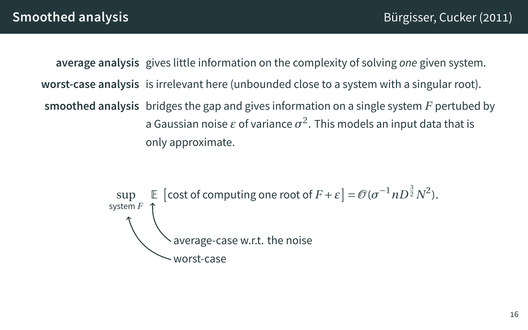**average analysis** gives little information on the complexity of solving *one* given system. **worst-case analysis** is irrelevant here (unbounded close to a system with a singular root). **smoothed analysis** bridges the gap and gives information on a single system *F* pertubed by a Gaussian noise  $\varepsilon$  of variance  $\sigma^2.$  This models an input data that is only approximate.

$$
\text{sup} \quad \mathbb{E} \quad \text{[cost of computing one root of } F + \varepsilon \text{]} = \mathcal{O}(\sigma^{-1} n D^{\frac{3}{2}} N^2).
$$
\n
$$
\text{average-case w.r.t. the noise}
$$
\n
$$
\text{worst-case}
$$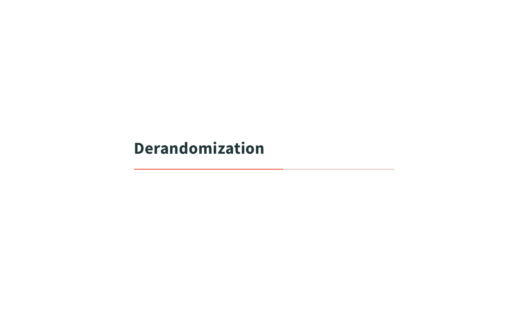**Derandomization**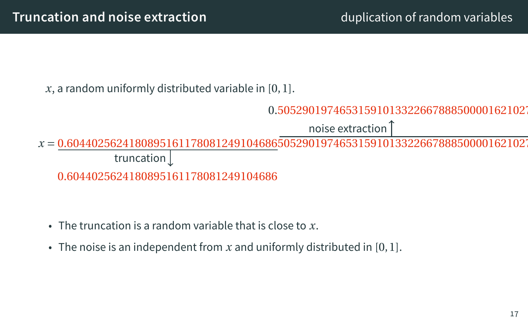*x*, a random uniformly distributed variable in [0, 1].



noise extraction

*x* = 0.60440256241808951611780812491046865052901974653159101332266788850000162102 0.6044025624180895161178081249104686 truncation

- The truncation is a random variable that is close to *x*.
- The noise is an independent from *x* and uniformly distributed in [0, 1].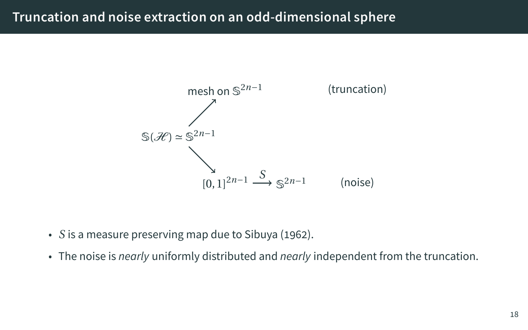## **Truncation and noise extraction on an odd-dimensional sphere**



- *S* is a measure preserving map due to Sibuya (1962).
- The noise is *nearly* uniformly distributed and *nearly* independent from the truncation.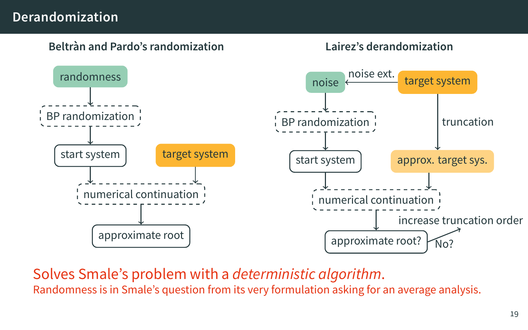### **Derandomization**



Solves Smale's problem with a *deterministic algorithm*. Randomness is in Smale's question from its very formulation asking for an average analysis.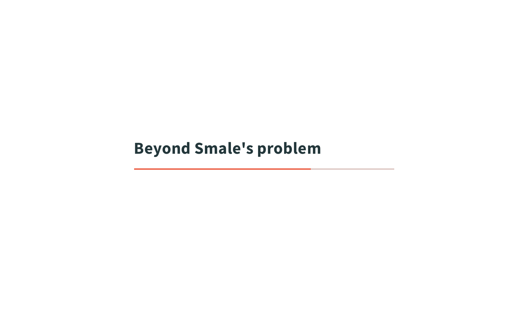**Beyond Smale's problem**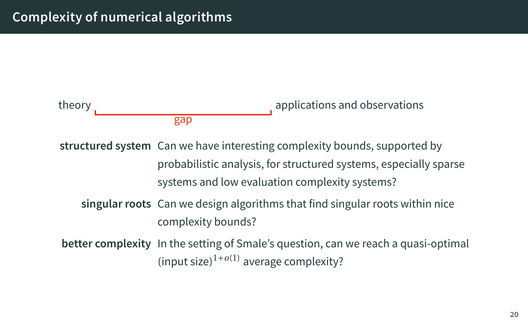

**structured system** Can we have interesting complexity bounds, supported by probabilistic analysis, for structured systems, especially sparse systems and low evaluation complexity systems?

**singular roots** Can we design algorithms that find singular roots within nice complexity bounds?

**better complexity** In the setting of Smale's question, can we reach a quasi-optimal (input size) <sup>1</sup>*+o*(1) average complexity?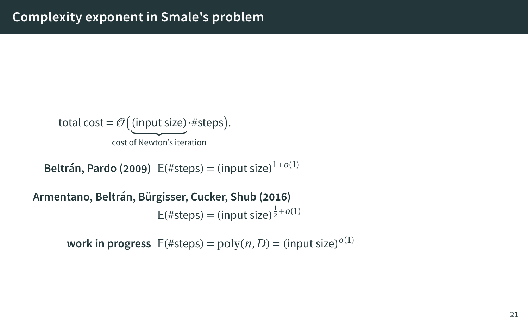# **Complexity exponent in Smale's problem**

total cost = 
$$
\mathcal{O}\left(\underbrace{\text{(input size)}}_{\text{cost of Newton's iteration}} \cdot \# \text{steps}\right)
$$
.

**Beltrán, Pardo (2009)** E(#steps) *=* (input size) 1*+o*(1)

**Armentano, Beltrán, Bürgisser, Cucker, Shub (2016)**

 $\mathbb{E}(\# \text{steps}) = (\text{input size})^{\frac{1}{2} + o(1)}$ 

work in progress  $\mathbb{E}(\# \text{steps}) = \text{poly}(n, D) = (\text{input size})^{o(1)}$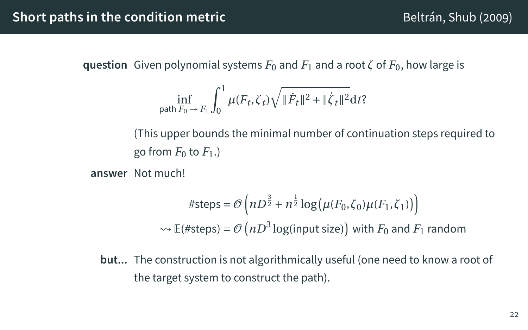## **Short paths in the condition metric** Beltrán, Shub (2009)

**question** Given polynomial systems  $F_0$  and  $F_1$  and a root  $\zeta$  of  $F_0$ , how large is

$$
\inf_{\text{path } F_0 \to F_1} \int_0^1 \mu(F_t, \zeta_t) \sqrt{\|\dot{F}_t\|^2 + \|\dot{\zeta}_t\|^2} \, \mathrm{d}t?
$$

(This upper bounds the minimal number of continuation steps required to go from  $F_0$  to  $F_1$ .)

**answer** Not much!

#steps = 
$$
\mathcal{O}\left(nD^{\frac{3}{2}} + n^{\frac{1}{2}}\log(\mu(F_0, \zeta_0)\mu(F_1, \zeta_1))\right)
$$
  
\n $\rightsquigarrow \mathbb{E}(\#steps) = \mathcal{O}\left(nD^3\log(\text{input size})\right)$  with  $F_0$  and  $F_1$  random

**but...** The construction is not algorithmically useful (one need to know a root of the target system to construct the path).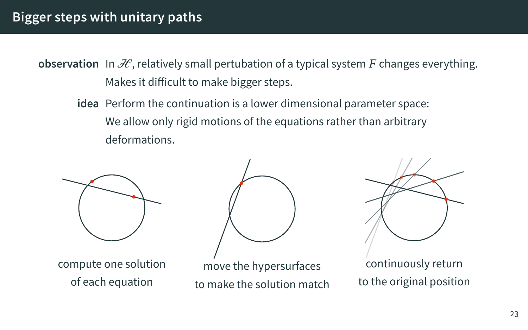### **Bigger steps with unitary paths**

**observation** In  $\mathcal{H}$ , relatively small pertubation of a typical system F changes everything. Makes it difficult to make bigger steps.

**idea** Perform the continuation is a lower dimensional parameter space: We allow only rigid motions of the equations rather than arbitrary deformations.



compute one solution of each equation



move the hypersurfaces to make the solution match



continuously return to the original position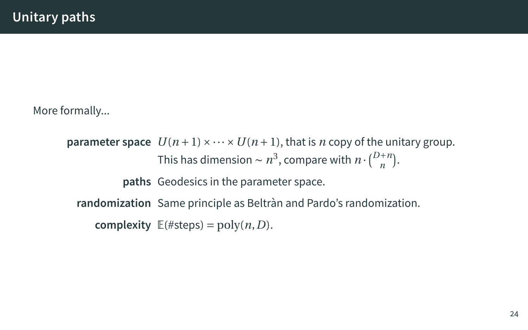More formally...

**parameter space**  $U(n+1) \times \cdots \times U(n+1)$ , that is *n* copy of the unitary group. This has dimension  $\sim n^3$ , compare with  $n \cdot {D+n \choose n}$ . **paths** Geodesics in the parameter space. **randomization** Same principle as Beltràn and Pardo's randomization. **complexity**  $E(\#steps) = poly(n, D)$ .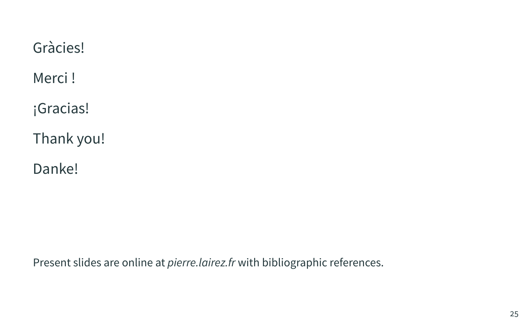Gràcies!

Merci !

¡Gracias!

Thank you!

Danke!

Present slides are online at *pierre.lairez.fr* with bibliographic references.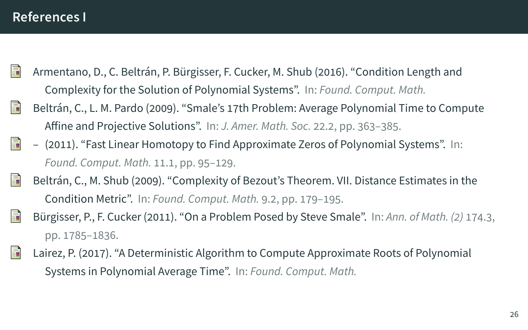#### **References I**

- 螶 Armentano, D., C. Beltrán, P. Bürgisser, F. Cucker, M. Shub (2016). "Condition Length and Complexity for the Solution of Polynomial Systems". In: *Found. Comput. Math.*
- F Beltrán, C., L. M. Pardo (2009). "Smale's 17th Problem: Average Polynomial Time to Compute Affine and Projective Solutions". In: *J. Amer. Math. Soc.* 22.2, pp. 363–385.
- F – (2011). "Fast Linear Homotopy to Find Approximate Zeros of Polynomial Systems". In: *Found. Comput. Math.* 11.1, pp. 95–129.
- $\exists$ Beltrán, C., M. Shub (2009). "Complexity of Bezout's Theorem. VII. Distance Estimates in the Condition Metric". In: *Found. Comput. Math.* 9.2, pp. 179–195.
- F Bürgisser, P., F. Cucker (2011). "On a Problem Posed by Steve Smale". In: *Ann. of Math. (2)* 174.3, pp. 1785–1836.
- Lairez, P. (2017). "A Deterministic Algorithm to Compute Approximate Roots of Polynomial 暈 Systems in Polynomial Average Time". In: *Found. Comput. Math.*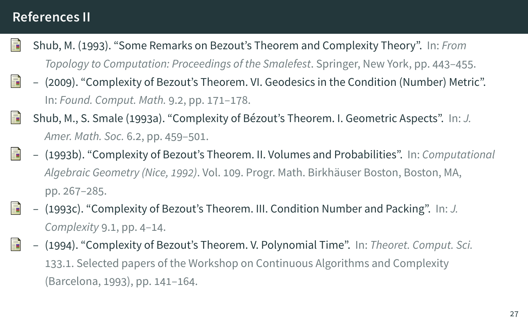## **References II**

- 譶 Shub, M. (1993). "Some Remarks on Bezout's Theorem and Complexity Theory". In: *From Topology to Computation: Proceedings of the Smalefest*. Springer, New York, pp. 443–455.
- 靠 – (2009). "Complexity of Bezout's Theorem. VI. Geodesics in the Condition (Number) Metric". In: *Found. Comput. Math.* 9.2, pp. 171–178.
- F Shub, M., S. Smale (1993a). "Complexity of Bézout's Theorem. I. Geometric Aspects". In: *J. Amer. Math. Soc.* 6.2, pp. 459–501.
- 螶 – (1993b). "Complexity of Bezout's Theorem. II. Volumes and Probabilities". In: *Computational Algebraic Geometry (Nice, 1992)*. Vol. 109. Progr. Math. Birkhäuser Boston, Boston, MA, pp. 267–285.
- 螶 – (1993c). "Complexity of Bezout's Theorem. III. Condition Number and Packing". In: *J. Complexity* 9.1, pp. 4–14.
- 暈 – (1994). "Complexity of Bezout's Theorem. V. Polynomial Time". In: *Theoret. Comput. Sci.* 133.1. Selected papers of the Workshop on Continuous Algorithms and Complexity (Barcelona, 1993), pp. 141–164.